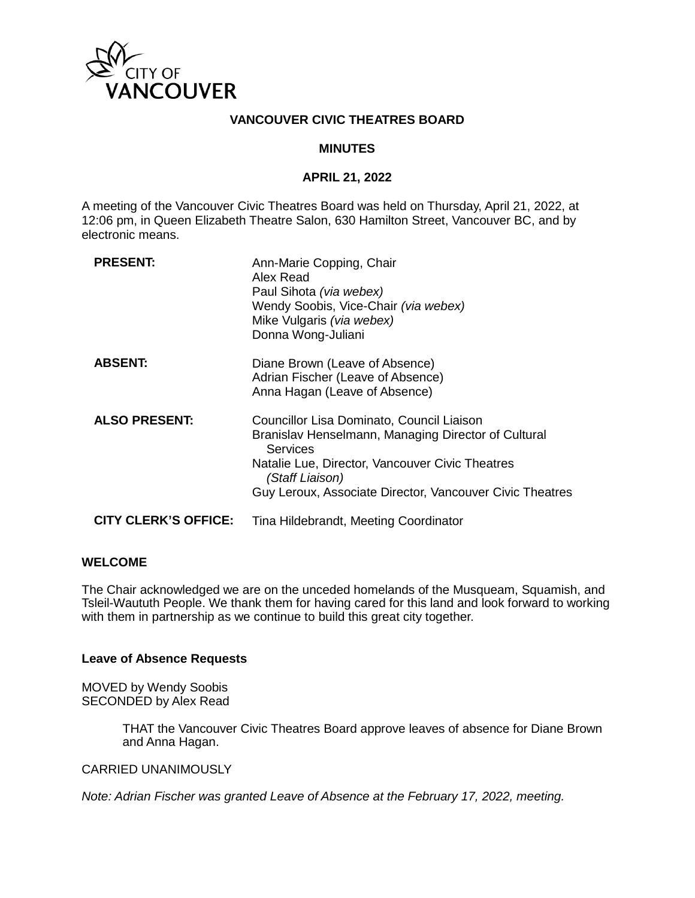

## **VANCOUVER CIVIC THEATRES BOARD**

## **MINUTES**

### **APRIL 21, 2022**

A meeting of the Vancouver Civic Theatres Board was held on Thursday, April 21, 2022, at 12:06 pm, in Queen Elizabeth Theatre Salon, 630 Hamilton Street, Vancouver BC, and by electronic means.

| <b>PRESENT:</b>             | Ann-Marie Copping, Chair<br>Alex Read<br>Paul Sihota (via webex)<br>Wendy Soobis, Vice-Chair (via webex)<br>Mike Vulgaris (via webex)<br>Donna Wong-Juliani                                                                                           |
|-----------------------------|-------------------------------------------------------------------------------------------------------------------------------------------------------------------------------------------------------------------------------------------------------|
| <b>ABSENT:</b>              | Diane Brown (Leave of Absence)<br>Adrian Fischer (Leave of Absence)<br>Anna Hagan (Leave of Absence)                                                                                                                                                  |
| <b>ALSO PRESENT:</b>        | Councillor Lisa Dominato, Council Liaison<br>Branislav Henselmann, Managing Director of Cultural<br><b>Services</b><br>Natalie Lue, Director, Vancouver Civic Theatres<br>(Staff Liaison)<br>Guy Leroux, Associate Director, Vancouver Civic Theatres |
| <b>CITY CLERK'S OFFICE:</b> | Tina Hildebrandt, Meeting Coordinator                                                                                                                                                                                                                 |

### **WELCOME**

The Chair acknowledged we are on the unceded homelands of the Musqueam, Squamish, and Tsleil-Waututh People. We thank them for having cared for this land and look forward to working with them in partnership as we continue to build this great city together.

### **Leave of Absence Requests**

MOVED by Wendy Soobis SECONDED by Alex Read

> THAT the Vancouver Civic Theatres Board approve leaves of absence for Diane Brown and Anna Hagan.

## CARRIED UNANIMOUSLY

*Note: Adrian Fischer was granted Leave of Absence at the February 17, 2022, meeting.*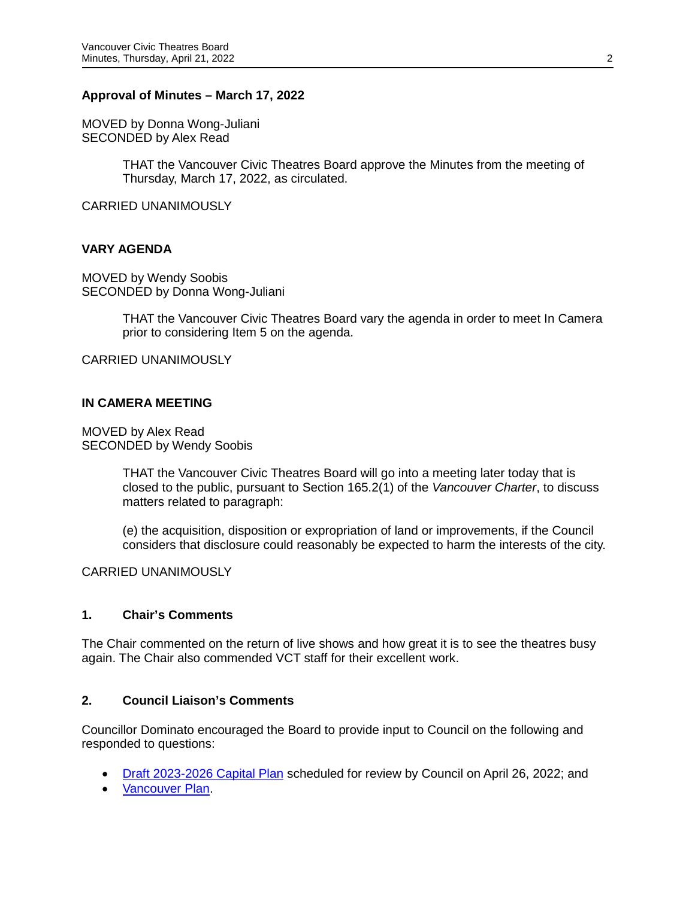## **Approval of Minutes – March 17, 2022**

MOVED by Donna Wong-Juliani SECONDED by Alex Read

> THAT the Vancouver Civic Theatres Board approve the Minutes from the meeting of Thursday, March 17, 2022, as circulated.

CARRIED UNANIMOUSLY

## **VARY AGENDA**

MOVED by Wendy Soobis SECONDED by Donna Wong-Juliani

> THAT the Vancouver Civic Theatres Board vary the agenda in order to meet In Camera prior to considering Item 5 on the agenda.

CARRIED UNANIMOUSLY

### **IN CAMERA MEETING**

MOVED by Alex Read SECONDED by Wendy Soobis

> THAT the Vancouver Civic Theatres Board will go into a meeting later today that is closed to the public, pursuant to Section 165.2(1) of the *Vancouver Charter*, to discuss matters related to paragraph:

(e) the acquisition, disposition or expropriation of land or improvements, if the Council considers that disclosure could reasonably be expected to harm the interests of the city.

CARRIED UNANIMOUSLY

## **1. Chair's Comments**

The Chair commented on the return of live shows and how great it is to see the theatres busy again. The Chair also commended VCT staff for their excellent work.

## **2. Council Liaison's Comments**

Councillor Dominato encouraged the Board to provide input to Council on the following and responded to questions:

- [Draft 2023-2026 Capital Plan](https://vancouver.ca/news-calendar/share-your-thoughts-on-city-s-draft-2023-2026-capital-plan.aspx) scheduled for review by Council on April 26, 2022; and
- [Vancouver Plan.](https://vancouverplan.ca/)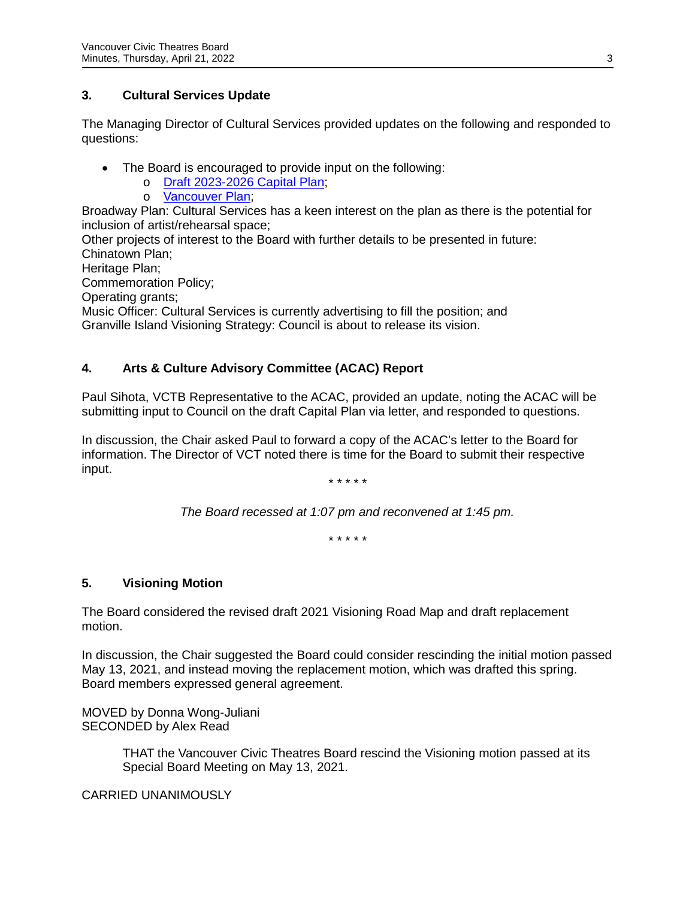# **3. Cultural Services Update**

The Managing Director of Cultural Services provided updates on the following and responded to questions:

- The Board is encouraged to provide input on the following:
	- o [Draft 2023-2026 Capital Plan;](https://vancouver.ca/news-calendar/share-your-thoughts-on-city-s-draft-2023-2026-capital-plan.aspx)
		- o [Vancouver Plan;](https://vancouverplan.ca/)

Broadway Plan: Cultural Services has a keen interest on the plan as there is the potential for inclusion of artist/rehearsal space;

Other projects of interest to the Board with further details to be presented in future: Chinatown Plan; Heritage Plan;

Commemoration Policy;

Operating grants;

Music Officer: Cultural Services is currently advertising to fill the position; and Granville Island Visioning Strategy: Council is about to release its vision.

# **4. Arts & Culture Advisory Committee (ACAC) Report**

Paul Sihota, VCTB Representative to the ACAC, provided an update, noting the ACAC will be submitting input to Council on the draft Capital Plan via letter, and responded to questions.

In discussion, the Chair asked Paul to forward a copy of the ACAC's letter to the Board for information. The Director of VCT noted there is time for the Board to submit their respective input.

*\* \* \* \* \**

*The Board recessed at 1:07 pm and reconvened at 1:45 pm.* 

*\* \* \* \* \**

# **5. Visioning Motion**

The Board considered the revised draft 2021 Visioning Road Map and draft replacement motion.

In discussion, the Chair suggested the Board could consider rescinding the initial motion passed May 13, 2021, and instead moving the replacement motion, which was drafted this spring. Board members expressed general agreement.

MOVED by Donna Wong-Juliani SECONDED by Alex Read

> THAT the Vancouver Civic Theatres Board rescind the Visioning motion passed at its Special Board Meeting on May 13, 2021.

CARRIED UNANIMOUSLY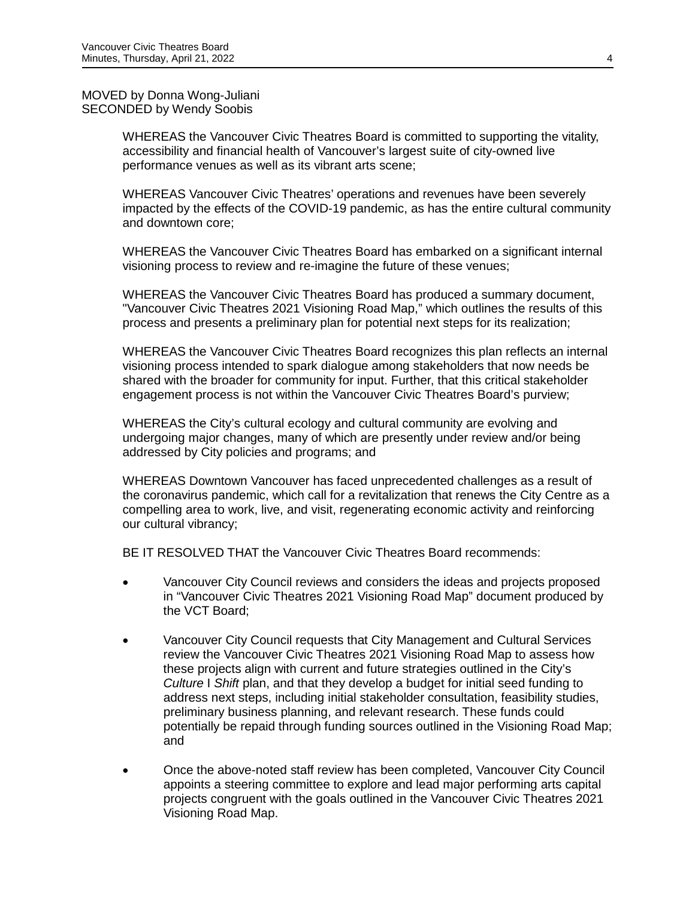MOVED by Donna Wong-Juliani SECONDED by Wendy Soobis

> WHEREAS the Vancouver Civic Theatres Board is committed to supporting the vitality, accessibility and financial health of Vancouver's largest suite of city-owned live performance venues as well as its vibrant arts scene;

WHEREAS Vancouver Civic Theatres' operations and revenues have been severely impacted by the effects of the COVID-19 pandemic, as has the entire cultural community and downtown core;

WHEREAS the Vancouver Civic Theatres Board has embarked on a significant internal visioning process to review and re-imagine the future of these venues;

WHEREAS the Vancouver Civic Theatres Board has produced a summary document, "Vancouver Civic Theatres 2021 Visioning Road Map," which outlines the results of this process and presents a preliminary plan for potential next steps for its realization;

WHEREAS the Vancouver Civic Theatres Board recognizes this plan reflects an internal visioning process intended to spark dialogue among stakeholders that now needs be shared with the broader for community for input. Further, that this critical stakeholder engagement process is not within the Vancouver Civic Theatres Board's purview;

WHEREAS the City's cultural ecology and cultural community are evolving and undergoing major changes, many of which are presently under review and/or being addressed by City policies and programs; and

WHEREAS Downtown Vancouver has faced unprecedented challenges as a result of the coronavirus pandemic, which call for a revitalization that renews the City Centre as a compelling area to work, live, and visit, regenerating economic activity and reinforcing our cultural vibrancy;

BE IT RESOLVED THAT the Vancouver Civic Theatres Board recommends:

- Vancouver City Council reviews and considers the ideas and projects proposed in "Vancouver Civic Theatres 2021 Visioning Road Map" document produced by the VCT Board;
- Vancouver City Council requests that City Management and Cultural Services review the Vancouver Civic Theatres 2021 Visioning Road Map to assess how these projects align with current and future strategies outlined in the City's *Culture* I *Shift* plan, and that they develop a budget for initial seed funding to address next steps, including initial stakeholder consultation, feasibility studies, preliminary business planning, and relevant research. These funds could potentially be repaid through funding sources outlined in the Visioning Road Map; and
- Once the above-noted staff review has been completed, Vancouver City Council appoints a steering committee to explore and lead major performing arts capital projects congruent with the goals outlined in the Vancouver Civic Theatres 2021 Visioning Road Map.